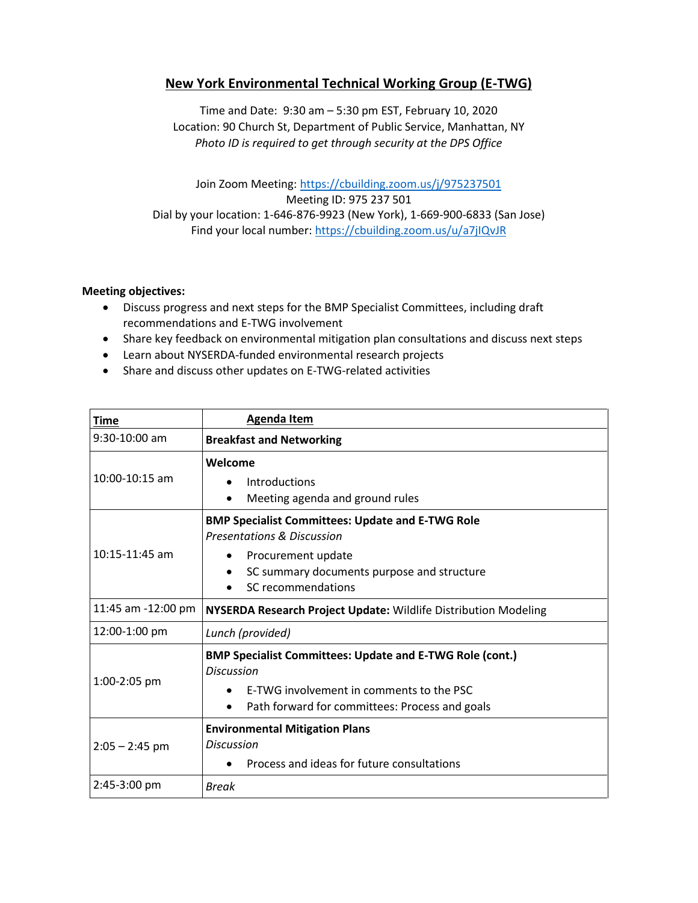## **New York Environmental Technical Working Group (E-TWG)**

Time and Date: 9:30 am – 5:30 pm EST, February 10, 2020 Location: 90 Church St, Department of Public Service, Manhattan, NY *Photo ID is required to get through security at the DPS Office*

Join Zoom Meeting:<https://cbuilding.zoom.us/j/975237501> Meeting ID: 975 237 501 Dial by your location: 1-646-876-9923 (New York), 1-669-900-6833 (San Jose) Find your local number:<https://cbuilding.zoom.us/u/a7jIQvJR>

## **Meeting objectives:**

- Discuss progress and next steps for the BMP Specialist Committees, including draft recommendations and E-TWG involvement
- Share key feedback on environmental mitigation plan consultations and discuss next steps
- Learn about NYSERDA-funded environmental research projects
- Share and discuss other updates on E-TWG-related activities

| <b>Time</b>        | <b>Agenda Item</b>                                                                                                                                                                              |
|--------------------|-------------------------------------------------------------------------------------------------------------------------------------------------------------------------------------------------|
| $9:30-10:00$ am    | <b>Breakfast and Networking</b>                                                                                                                                                                 |
| $10:00 - 10:15$ am | Welcome<br>Introductions<br>Meeting agenda and ground rules<br>$\bullet$                                                                                                                        |
| 10:15-11:45 am     | <b>BMP Specialist Committees: Update and E-TWG Role</b><br><b>Presentations &amp; Discussion</b><br>Procurement update<br>٠<br>SC summary documents purpose and structure<br>SC recommendations |
| 11:45 am -12:00 pm | NYSERDA Research Project Update: Wildlife Distribution Modeling                                                                                                                                 |
| 12:00-1:00 pm      | Lunch (provided)                                                                                                                                                                                |
| 1:00-2:05 pm       | <b>BMP Specialist Committees: Update and E-TWG Role (cont.)</b><br><b>Discussion</b><br>E-TWG involvement in comments to the PSC<br>Path forward for committees: Process and goals              |
| $2:05 - 2:45$ pm   | <b>Environmental Mitigation Plans</b><br><b>Discussion</b><br>Process and ideas for future consultations                                                                                        |
| 2:45-3:00 pm       | <b>Break</b>                                                                                                                                                                                    |